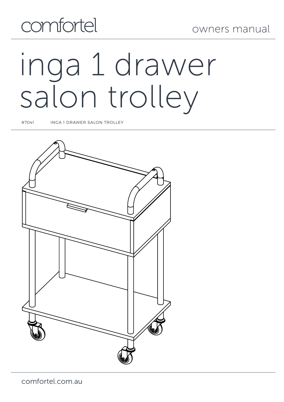

# inga 1 drawer salon trolley

#7041 INGA 1 DRAWER SALON TROLLEY

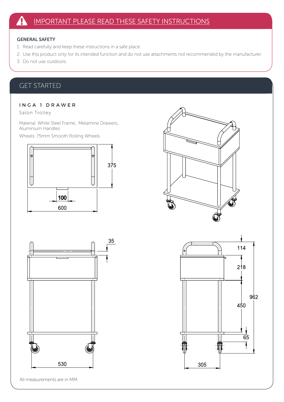#### GENERAL SAFETY

- 1. Read carefully and keep these instructions in a safe place.
- 2. Use this product only for its intended function and do not use attachments not recommended by the manufacturer.
- 3. Do not use outdoors.

# GET STARTED

### I N G A 1 D R A W E R

Salon Trolley

Material: White Steel Frame, Melamine Drawers, Aluminium Handles

Wheels: 75mm Smooth Rolling Wheels







All measurements are in MM.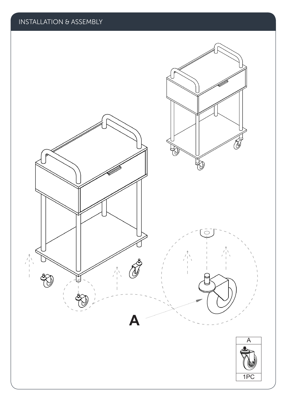